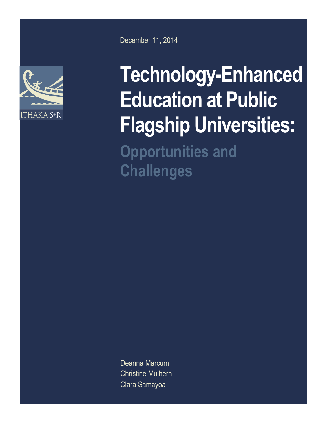

December 11, 2014

# **Technology-Enhanced Education at Public Flagship Universities: Opportunities and Challenges**

Deanna Marcum Christine Mulhern Clara Samayoa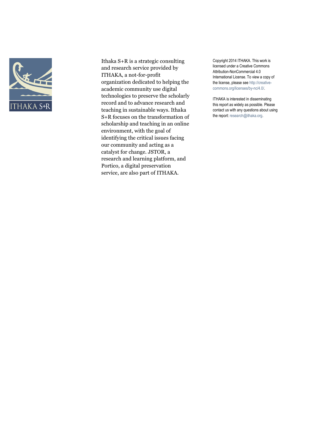

Ithaka S+R is a strategic consulting and research service provided by ITHAKA, a not-for-profit organization dedicated to helping the academic community use digital technologies to preserve the scholarly record and to advance research and teaching in sustainable ways. Ithaka S+R focuses on the transformation of scholarship and teaching in an online environment, with the goal of identifying the critical issues facing our community and acting as a catalyst for change. JSTOR, a research and learning platform, and Portico, a digital preservation service, are also part of ITHAKA.

Copyright 2014 ITHAKA. This work is licensed under a Creative Commons Attribution-NonCommercial 4.0 International License. To view a copy of the license, please see http://creativecommons.org/licenses/by-nc/4.0/.

ITHAKA is interested in disseminating this report as widely as possible. Please contact us with any questions about using the report: research@ithaka.org.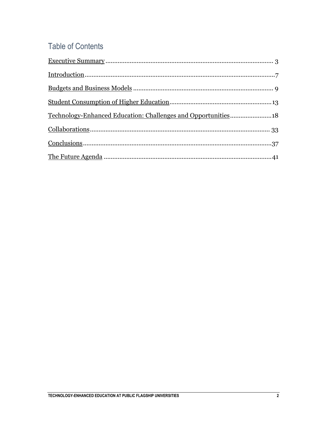## **Table of Contents**

| Technology-Enhanced Education: Challenges and Opportunities18 |  |
|---------------------------------------------------------------|--|
|                                                               |  |
| $Conclusions           37$                                    |  |
|                                                               |  |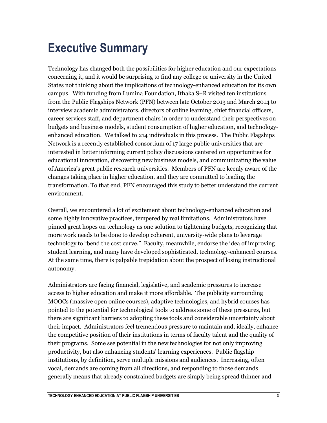## <span id="page-3-0"></span>**Executive Summary**

Technology has changed both the possibilities for higher education and our expectations concerning it, and it would be surprising to find any college or university in the United States not thinking about the implications of technology-enhanced education for its own campus. With funding from Lumina Foundation, Ithaka S+R visited ten institutions from the Public Flagships Network (PFN) between late October 2013 and March 2014 to interview academic administrators, directors of online learning, chief financial officers, career services staff, and department chairs in order to understand their perspectives on budgets and business models, student consumption of higher education, and technologyenhanced education. We talked to 214 individuals in this process. The Public Flagships Network is a recently established consortium of 17 large public universities that are interested in better informing current policy discussions centered on opportunities for educational innovation, discovering new business models, and communicating the value of America's great public research universities. Members of PFN are keenly aware of the changes taking place in higher education, and they are committed to leading the transformation. To that end, PFN encouraged this study to better understand the current environment.

Overall, we encountered a lot of excitement about technology-enhanced education and some highly innovative practices, tempered by real limitations. Administrators have pinned great hopes on technology as one solution to tightening budgets, recognizing that more work needs to be done to develop coherent, university-wide plans to leverage technology to "bend the cost curve." Faculty, meanwhile, endorse the idea of improving student learning, and many have developed sophisticated, technology-enhanced courses. At the same time, there is palpable trepidation about the prospect of losing instructional autonomy.

Administrators are facing financial, legislative, and academic pressures to increase access to higher education and make it more affordable. The publicity surrounding MOOCs (massive open online courses), adaptive technologies, and hybrid courses has pointed to the potential for technological tools to address some of these pressures, but there are significant barriers to adopting these tools and considerable uncertainty about their impact. Administrators feel tremendous pressure to maintain and, ideally, enhance the competitive position of their institutions in terms of faculty talent and the quality of their programs. Some see potential in the new technologies for not only improving productivity, but also enhancing students' learning experiences. Public flagship institutions, by definition, serve multiple missions and audiences. Increasing, often vocal, demands are coming from all directions, and responding to those demands generally means that already constrained budgets are simply being spread thinner and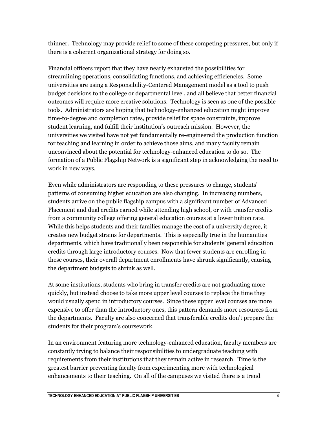thinner. Technology may provide relief to some of these competing pressures, but only if there is a coherent organizational strategy for doing so.

Financial officers report that they have nearly exhausted the possibilities for streamlining operations, consolidating functions, and achieving efficiencies. Some universities are using a Responsibility-Centered Management model as a tool to push budget decisions to the college or departmental level, and all believe that better financial outcomes will require more creative solutions. Technology is seen as one of the possible tools. Administrators are hoping that technology-enhanced education might improve time-to-degree and completion rates, provide relief for space constraints, improve student learning, and fulfill their institution's outreach mission. However, the universities we visited have not yet fundamentally re-engineered the production function for teaching and learning in order to achieve those aims, and many faculty remain unconvinced about the potential for technology-enhanced education to do so. The formation of a Public Flagship Network is a significant step in acknowledging the need to work in new ways.

Even while administrators are responding to these pressures to change, students' patterns of consuming higher education are also changing. In increasing numbers, students arrive on the public flagship campus with a significant number of Advanced Placement and dual credits earned while attending high school, or with transfer credits from a community college offering general education courses at a lower tuition rate. While this helps students and their families manage the cost of a university degree, it creates new budget strains for departments. This is especially true in the humanities departments, which have traditionally been responsible for students' general education credits through large introductory courses. Now that fewer students are enrolling in these courses, their overall department enrollments have shrunk significantly, causing the department budgets to shrink as well.

At some institutions, students who bring in transfer credits are not graduating more quickly, but instead choose to take more upper level courses to replace the time they would usually spend in introductory courses. Since these upper level courses are more expensive to offer than the introductory ones, this pattern demands more resources from the departments. Faculty are also concerned that transferable credits don't prepare the students for their program's coursework.

In an environment featuring more technology-enhanced education, faculty members are constantly trying to balance their responsibilities to undergraduate teaching with requirements from their institutions that they remain active in research. Time is the greatest barrier preventing faculty from experimenting more with technological enhancements to their teaching. On all of the campuses we visited there is a trend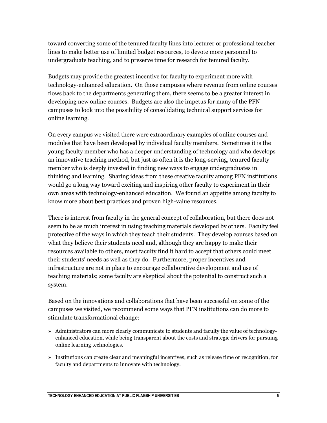toward converting some of the tenured faculty lines into lecturer or professional teacher lines to make better use of limited budget resources, to devote more personnel to undergraduate teaching, and to preserve time for research for tenured faculty.

Budgets may provide the greatest incentive for faculty to experiment more with technology-enhanced education. On those campuses where revenue from online courses flows back to the departments generating them, there seems to be a greater interest in developing new online courses. Budgets are also the impetus for many of the PFN campuses to look into the possibility of consolidating technical support services for online learning.

On every campus we visited there were extraordinary examples of online courses and modules that have been developed by individual faculty members. Sometimes it is the young faculty member who has a deeper understanding of technology and who develops an innovative teaching method, but just as often it is the long-serving, tenured faculty member who is deeply invested in finding new ways to engage undergraduates in thinking and learning. Sharing ideas from these creative faculty among PFN institutions would go a long way toward exciting and inspiring other faculty to experiment in their own areas with technology-enhanced education. We found an appetite among faculty to know more about best practices and proven high-value resources.

There is interest from faculty in the general concept of collaboration, but there does not seem to be as much interest in using teaching materials developed by others. Faculty feel protective of the ways in which they teach their students. They develop courses based on what they believe their students need and, although they are happy to make their resources available to others, most faculty find it hard to accept that others could meet their students' needs as well as they do. Furthermore, proper incentives and infrastructure are not in place to encourage collaborative development and use of teaching materials; some faculty are skeptical about the potential to construct such a system.

Based on the innovations and collaborations that have been successful on some of the campuses we visited, we recommend some ways that PFN institutions can do more to stimulate transformational change:

- » Administrators can more clearly communicate to students and faculty the value of technologyenhanced education, while being transparent about the costs and strategic drivers for pursuing online learning technologies.
- » Institutions can create clear and meaningful incentives, such as release time or recognition, for faculty and departments to innovate with technology.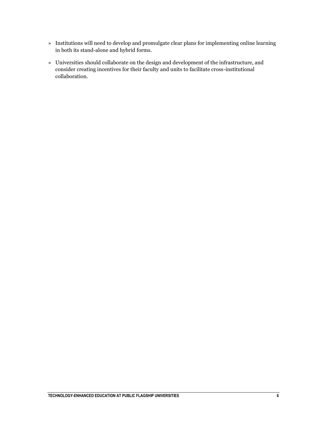- » Institutions will need to develop and promulgate clear plans for implementing online learning in both its stand-alone and hybrid forms.
- » Universities should collaborate on the design and development of the infrastructure, and consider creating incentives for their faculty and units to facilitate cross-institutional collaboration.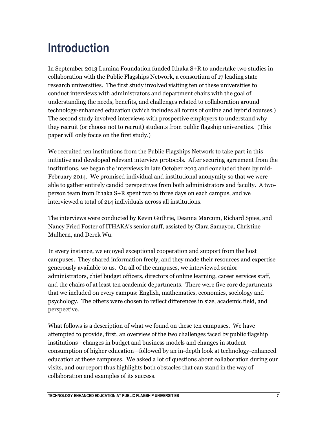## <span id="page-7-0"></span>**Introduction**

In September 2013 Lumina Foundation funded Ithaka S+R to undertake two studies in collaboration with the Public Flagships Network, a consortium of 17 leading state research universities. The first study involved visiting ten of these universities to conduct interviews with administrators and department chairs with the goal of understanding the needs, benefits, and challenges related to collaboration around technology-enhanced education (which includes all forms of online and hybrid courses.) The second study involved interviews with prospective employers to understand why they recruit (or choose not to recruit) students from public flagship universities. (This paper will only focus on the first study.)

We recruited ten institutions from the Public Flagships Network to take part in this initiative and developed relevant interview protocols. After securing agreement from the institutions, we began the interviews in late October 2013 and concluded them by mid-February 2014. We promised individual and institutional anonymity so that we were able to gather entirely candid perspectives from both administrators and faculty. A twoperson team from Ithaka S+R spent two to three days on each campus, and we interviewed a total of 214 individuals across all institutions.

The interviews were conducted by Kevin Guthrie, Deanna Marcum, Richard Spies, and Nancy Fried Foster of ITHAKA's senior staff, assisted by Clara Samayoa, Christine Mulhern, and Derek Wu.

In every instance, we enjoyed exceptional cooperation and support from the host campuses. They shared information freely, and they made their resources and expertise generously available to us. On all of the campuses, we interviewed senior administrators, chief budget officers, directors of online learning, career services staff, and the chairs of at least ten academic departments. There were five core departments that we included on every campus: English, mathematics, economics, sociology and psychology. The others were chosen to reflect differences in size, academic field, and perspective.

What follows is a description of what we found on these ten campuses. We have attempted to provide, first, an overview of the two challenges faced by public flagship institutions—changes in budget and business models and changes in student consumption of higher education—followed by an in-depth look at technology-enhanced education at these campuses. We asked a lot of questions about collaboration during our visits, and our report thus highlights both obstacles that can stand in the way of collaboration and examples of its success.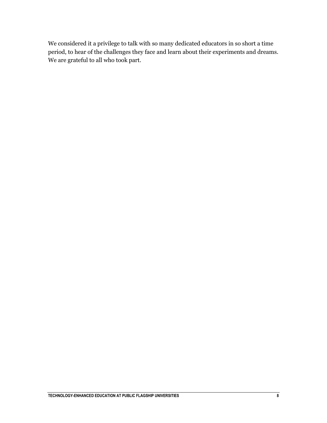We considered it a privilege to talk with so many dedicated educators in so short a time period, to hear of the challenges they face and learn about their experiments and dreams. We are grateful to all who took part.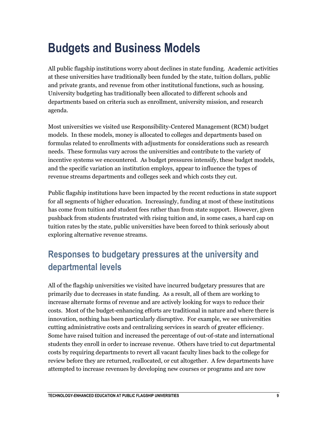## <span id="page-9-0"></span>**Budgets and Business Models**

All public flagship institutions worry about declines in state funding. Academic activities at these universities have traditionally been funded by the state, tuition dollars, public and private grants, and revenue from other institutional functions, such as housing. University budgeting has traditionally been allocated to different schools and departments based on criteria such as enrollment, university mission, and research agenda.

Most universities we visited use Responsibility-Centered Management (RCM) budget models. In these models, money is allocated to colleges and departments based on formulas related to enrollments with adjustments for considerations such as research needs. These formulas vary across the universities and contribute to the variety of incentive systems we encountered. As budget pressures intensify, these budget models, and the specific variation an institution employs, appear to influence the types of revenue streams departments and colleges seek and which costs they cut.

Public flagship institutions have been impacted by the recent reductions in state support for all segments of higher education. Increasingly, funding at most of these institutions has come from tuition and student fees rather than from state support. However, given pushback from students frustrated with rising tuition and, in some cases, a hard cap on tuition rates by the state, public universities have been forced to think seriously about exploring alternative revenue streams.

## **Responses to budgetary pressures at the university and departmental levels**

All of the flagship universities we visited have incurred budgetary pressures that are primarily due to decreases in state funding. As a result, all of them are working to increase alternate forms of revenue and are actively looking for ways to reduce their costs. Most of the budget-enhancing efforts are traditional in nature and where there is innovation, nothing has been particularly disruptive. For example, we see universities cutting administrative costs and centralizing services in search of greater efficiency. Some have raised tuition and increased the percentage of out-of-state and international students they enroll in order to increase revenue. Others have tried to cut departmental costs by requiring departments to revert all vacant faculty lines back to the college for review before they are returned, reallocated, or cut altogether. A few departments have attempted to increase revenues by developing new courses or programs and are now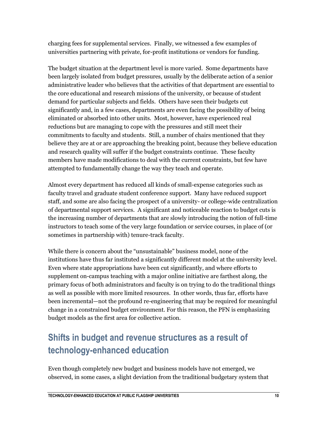charging fees for supplemental services. Finally, we witnessed a few examples of universities partnering with private, for-profit institutions or vendors for funding.

The budget situation at the department level is more varied. Some departments have been largely isolated from budget pressures, usually by the deliberate action of a senior administrative leader who believes that the activities of that department are essential to the core educational and research missions of the university, or because of student demand for particular subjects and fields. Others have seen their budgets cut significantly and, in a few cases, departments are even facing the possibility of being eliminated or absorbed into other units. Most, however, have experienced real reductions but are managing to cope with the pressures and still meet their commitments to faculty and students. Still, a number of chairs mentioned that they believe they are at or are approaching the breaking point, because they believe education and research quality will suffer if the budget constraints continue. These faculty members have made modifications to deal with the current constraints, but few have attempted to fundamentally change the way they teach and operate.

Almost every department has reduced all kinds of small-expense categories such as faculty travel and graduate student conference support. Many have reduced support staff, and some are also facing the prospect of a university- or college-wide centralization of departmental support services. A significant and noticeable reaction to budget cuts is the increasing number of departments that are slowly introducing the notion of full-time instructors to teach some of the very large foundation or service courses, in place of (or sometimes in partnership with) tenure-track faculty.

While there is concern about the "unsustainable" business model, none of the institutions have thus far instituted a significantly different model at the university level. Even where state appropriations have been cut significantly, and where efforts to supplement on-campus teaching with a major online initiative are farthest along, the primary focus of both administrators and faculty is on trying to do the traditional things as well as possible with more limited resources. In other words, thus far, efforts have been incremental—not the profound re-engineering that may be required for meaningful change in a constrained budget environment. For this reason, the PFN is emphasizing budget models as the first area for collective action.

## **Shifts in budget and revenue structures as a result of technology-enhanced education**

Even though completely new budget and business models have not emerged, we observed, in some cases, a slight deviation from the traditional budgetary system that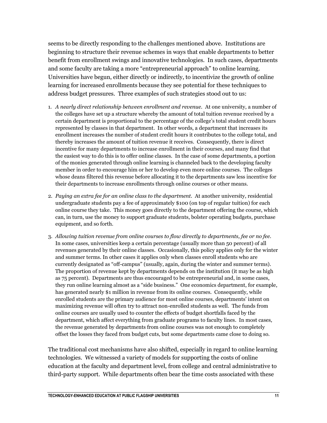seems to be directly responding to the challenges mentioned above. Institutions are beginning to structure their revenue schemes in ways that enable departments to better benefit from enrollment swings and innovative technologies. In such cases, departments and some faculty are taking a more "entrepreneurial approach" to online learning. Universities have begun, either directly or indirectly, to incentivize the growth of online learning for increased enrollments because they see potential for these techniques to address budget pressures. Three examples of such strategies stood out to us:

- 1. *A nearly direct relationship between enrollment and revenue.* At one university, a number of the colleges have set up a structure whereby the amount of total tuition revenue received by a certain department is proportional to the percentage of the college's total student credit hours represented by classes in that department. In other words, a department that increases its enrollment increases the number of student credit hours it contributes to the college total, and thereby increases the amount of tuition revenue it receives. Consequently, there is direct incentive for many departments to increase enrollment in their courses, and many find that the easiest way to do this is to offer online classes. In the case of some departments, a portion of the monies generated through online learning is channeled back to the developing faculty member in order to encourage him or her to develop even more online courses. The colleges whose deans filtered this revenue before allocating it to the departments saw less incentive for their departments to increase enrollments through online courses or other means.
- 2. *Paying an extra fee for an online class to the department.* At another university, residential undergraduate students pay a fee of approximately \$100 (on top of regular tuition) for each online course they take. This money goes directly to the department offering the course, which can, in turn, use the money to support graduate students, bolster operating budgets, purchase equipment, and so forth.
- 3. *Allowing tuition revenue from online courses to flow directly to departments, fee or no fee.*  In some cases, universities keep a certain percentage (usually more than 50 percent) of all revenues generated by their online classes. Occasionally, this policy applies only for the winter and summer terms. In other cases it applies only when classes enroll students who are currently designated as "off-campus" (usually, again, during the winter and summer terms). The proportion of revenue kept by departments depends on the institution (it may be as high as 75 percent). Departments are thus encouraged to be entrepreneurial and, in some cases, they run online learning almost as a "side business." One economics department, for example, has generated nearly \$1 million in revenue from its online courses. Consequently, while enrolled students are the primary audience for most online courses, departments' intent on maximizing revenue will often try to attract non-enrolled students as well. The funds from online courses are usually used to counter the effects of budget shortfalls faced by the department, which affect everything from graduate programs to faculty lines. In most cases, the revenue generated by departments from online courses was not enough to completely offset the losses they faced from budget cuts, but some departments came close to doing so.

The traditional cost mechanisms have also shifted, especially in regard to online learning technologies. We witnessed a variety of models for supporting the costs of online education at the faculty and department level, from college and central administrative to third-party support. While departments often bear the time costs associated with these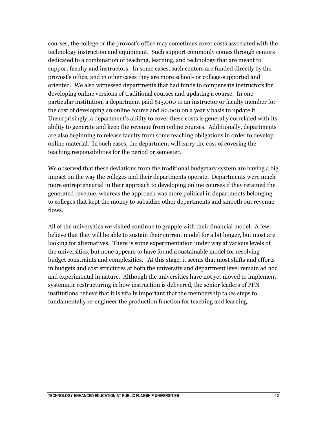courses, the college or the provost's office may sometimes cover costs associated with the technology instruction and equipment. Such support commonly comes through centers dedicated to a combination of teaching, learning, and technology that are meant to support faculty and instructors. In some cases, such centers are funded directly by the provost's office, and in other cases they are more school- or college-supported and oriented. We also witnessed departments that had funds to compensate instructors for developing online versions of traditional courses and updating a course. In one particular institution, a department paid \$15,000 to an instructor or faculty member for the cost of developing an online course and \$2,000 on a yearly basis to update it. Unsurprisingly, a department's ability to cover these costs is generally correlated with its ability to generate and keep the revenue from online courses. Additionally, departments are also beginning to release faculty from some teaching obligations in order to develop online material. In such cases, the department will carry the cost of covering the teaching responsibilities for the period or semester.

We observed that these deviations from the traditional budgetary system are having a big impact on the way the colleges and their departments operate. Departments were much more entrepreneurial in their approach to developing online courses if they retained the generated revenue, whereas the approach was more political in departments belonging to colleges that kept the money to subsidize other departments and smooth out revenue flows.

All of the universities we visited continue to grapple with their financial model. A few believe that they will be able to sustain their current model for a bit longer, but most are looking for alternatives. There is some experimentation under way at various levels of the universities, but none appears to have found a sustainable model for resolving budget constraints and complexities. At this stage, it seems that most shifts and efforts in budgets and cost structures at both the university and department level remain ad hoc and experimental in nature. Although the universities have not yet moved to implement systematic restructuring in how instruction is delivered, the senior leaders of PFN institutions believe that it is vitally important that the membership takes steps to fundamentally re-engineer the production function for teaching and learning.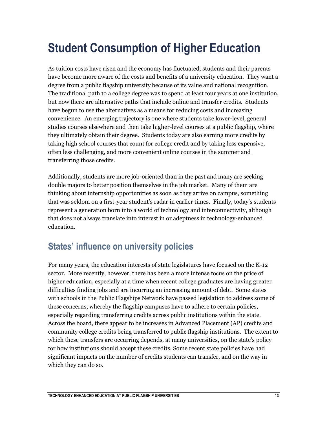## <span id="page-13-0"></span>**Student Consumption of Higher Education**

As tuition costs have risen and the economy has fluctuated, students and their parents have become more aware of the costs and benefits of a university education. They want a degree from a public flagship university because of its value and national recognition. The traditional path to a college degree was to spend at least four years at one institution, but now there are alternative paths that include online and transfer credits. Students have begun to use the alternatives as a means for reducing costs and increasing convenience. An emerging trajectory is one where students take lower-level, general studies courses elsewhere and then take higher-level courses at a public flagship, where they ultimately obtain their degree. Students today are also earning more credits by taking high school courses that count for college credit and by taking less expensive, often less challenging, and more convenient online courses in the summer and transferring those credits.

Additionally, students are more job-oriented than in the past and many are seeking double majors to better position themselves in the job market. Many of them are thinking about internship opportunities as soon as they arrive on campus, something that was seldom on a first-year student's radar in earlier times. Finally, today's students represent a generation born into a world of technology and interconnectivity, although that does not always translate into interest in or adeptness in technology-enhanced education.

### **States' influence on university policies**

For many years, the education interests of state legislatures have focused on the K-12 sector. More recently, however, there has been a more intense focus on the price of higher education, especially at a time when recent college graduates are having greater difficulties finding jobs and are incurring an increasing amount of debt. Some states with schools in the Public Flagships Network have passed legislation to address some of these concerns, whereby the flagship campuses have to adhere to certain policies, especially regarding transferring credits across public institutions within the state. Across the board, there appear to be increases in Advanced Placement (AP) credits and community college credits being transferred to public flagship institutions. The extent to which these transfers are occurring depends, at many universities, on the state's policy for how institutions should accept these credits. Some recent state policies have had significant impacts on the number of credits students can transfer, and on the way in which they can do so.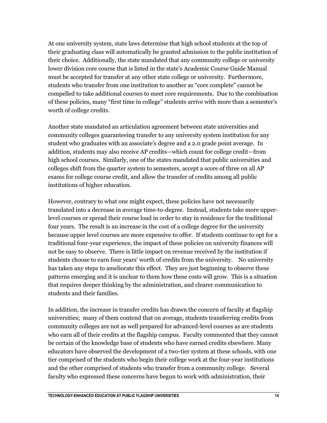At one university system, state laws determine that high school students at the top of their graduating class will automatically be granted admission to the public institution of their choice. Additionally, the state mandated that any community college or university lower division core course that is listed in the state's Academic Course Guide Manual must be accepted for transfer at any other state college or university. Furthermore, students who transfer from one institution to another as "core complete" cannot be compelled to take additional courses to meet core requirements. Due to the combination of these policies, many "first time in college" students arrive with more than a semester's worth of college credits.

Another state mandated an articulation agreement between state universities and community colleges guaranteeing transfer to any university system institution for any student who graduates with an associate's degree and a 2.0 grade point average. In addition, students may also receive AP credits—which count for college credit—from high school courses. Similarly, one of the states mandated that public universities and colleges shift from the quarter system to semesters, accept a score of three on all AP exams for college course credit, and allow the transfer of credits among all public institutions of higher education.

However, contrary to what one might expect, these policies have not necessarily translated into a decrease in average time-to-degree. Instead, students take more upperlevel courses or spread their course load in order to stay in residence for the traditional four years. The result is an increase in the cost of a college degree for the university because upper level courses are more expensive to offer. If students continue to opt for a traditional four-year experience, the impact of these policies on university finances will not be easy to observe. There is little impact on revenue received by the institution if students choose to earn four years' worth of credits from the university. No university has taken any steps to ameliorate this effect. They are just beginning to observe these patterns emerging and it is unclear to them how these costs will grow. This is a situation that requires deeper thinking by the administration, and clearer communication to students and their families.

In addition, the increase in transfer credits has drawn the concern of faculty at flagship universities; many of them contend that on average, students transferring credits from community colleges are not as well prepared for advanced-level courses as are students who earn all of their credits at the flagship campus. Faculty commented that they cannot be certain of the knowledge base of students who have earned credits elsewhere. Many educators have observed the development of a two-tier system at these schools, with one tier comprised of the students who begin their college work at the four-year institutions and the other comprised of students who transfer from a community college. Several faculty who expressed these concerns have begun to work with administration, their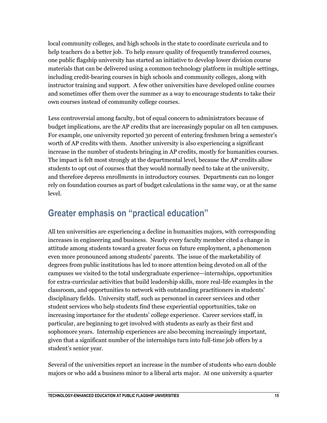local community colleges, and high schools in the state to coordinate curricula and to help teachers do a better job. To help ensure quality of frequently transferred courses, one public flagship university has started an initiative to develop lower division course materials that can be delivered using a common technology platform in multiple settings, including credit-bearing courses in high schools and community colleges, along with instructor training and support. A few other universities have developed online courses and sometimes offer them over the summer as a way to encourage students to take their own courses instead of community college courses.

Less controversial among faculty, but of equal concern to administrators because of budget implications, are the AP credits that are increasingly popular on all ten campuses. For example, one university reported 30 percent of entering freshmen bring a semester's worth of AP credits with them. Another university is also experiencing a significant increase in the number of students bringing in AP credits, mostly for humanities courses. The impact is felt most strongly at the departmental level, because the AP credits allow students to opt out of courses that they would normally need to take at the university, and therefore depress enrollments in introductory courses. Departments can no longer rely on foundation courses as part of budget calculations in the same way, or at the same level.

### **Greater emphasis on "practical education"**

All ten universities are experiencing a decline in humanities majors, with corresponding increases in engineering and business. Nearly every faculty member cited a change in attitude among students toward a greater focus on future employment, a phenomenon even more pronounced among students' parents. The issue of the marketability of degrees from public institutions has led to more attention being devoted on all of the campuses we visited to the total undergraduate experience—internships, opportunities for extra-curricular activities that build leadership skills, more real-life examples in the classroom, and opportunities to network with outstanding practitioners in students' disciplinary fields. University staff, such as personnel in career services and other student services who help students find these experiential opportunities, take on increasing importance for the students' college experience. Career services staff, in particular, are beginning to get involved with students as early as their first and sophomore years. Internship experiences are also becoming increasingly important, given that a significant number of the internships turn into full-time job offers by a student's senior year.

Several of the universities report an increase in the number of students who earn double majors or who add a business minor to a liberal arts major. At one university a quarter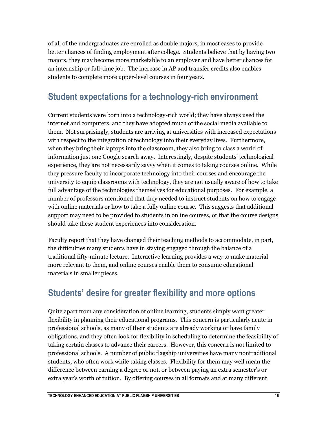of all of the undergraduates are enrolled as double majors, in most cases to provide better chances of finding employment after college. Students believe that by having two majors, they may become more marketable to an employer and have better chances for an internship or full-time job. The increase in AP and transfer credits also enables students to complete more upper-level courses in four years.

### **Student expectations for a technology-rich environment**

Current students were born into a technology-rich world; they have always used the internet and computers, and they have adopted much of the social media available to them. Not surprisingly, students are arriving at universities with increased expectations with respect to the integration of technology into their everyday lives. Furthermore, when they bring their laptops into the classroom, they also bring to class a world of information just one Google search away. Interestingly, despite students' technological experience, they are not necessarily savvy when it comes to taking courses online. While they pressure faculty to incorporate technology into their courses and encourage the university to equip classrooms with technology, they are not usually aware of how to take full advantage of the technologies themselves for educational purposes. For example, a number of professors mentioned that they needed to instruct students on how to engage with online materials or how to take a fully online course. This suggests that additional support may need to be provided to students in online courses, or that the course designs should take these student experiences into consideration.

Faculty report that they have changed their teaching methods to accommodate, in part, the difficulties many students have in staying engaged through the balance of a traditional fifty-minute lecture. Interactive learning provides a way to make material more relevant to them, and online courses enable them to consume educational materials in smaller pieces.

### **Students' desire for greater flexibility and more options**

Quite apart from any consideration of online learning, students simply want greater flexibility in planning their educational programs. This concern is particularly acute in professional schools, as many of their students are already working or have family obligations, and they often look for flexibility in scheduling to determine the feasibility of taking certain classes to advance their careers. However, this concern is not limited to professional schools. A number of public flagship universities have many nontraditional students, who often work while taking classes. Flexibility for them may well mean the difference between earning a degree or not, or between paying an extra semester's or extra year's worth of tuition. By offering courses in all formats and at many different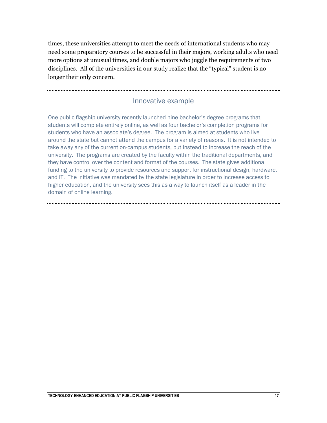times, these universities attempt to meet the needs of international students who may need some preparatory courses to be successful in their majors, working adults who need more options at unusual times, and double majors who juggle the requirements of two disciplines. All of the universities in our study realize that the "typical" student is no longer their only concern.

#### Innovative example

One public flagship university recently launched nine bachelor's degree programs that students will complete entirely online, as well as four bachelor's completion programs for students who have an associate's degree. The program is aimed at students who live around the state but cannot attend the campus for a variety of reasons. It is not intended to take away any of the current on-campus students, but instead to increase the reach of the university. The programs are created by the faculty within the traditional departments, and they have control over the content and format of the courses. The state gives additional funding to the university to provide resources and support for instructional design, hardware, and IT. The initiative was mandated by the state legislature in order to increase access to higher education, and the university sees this as a way to launch itself as a leader in the domain of online learning.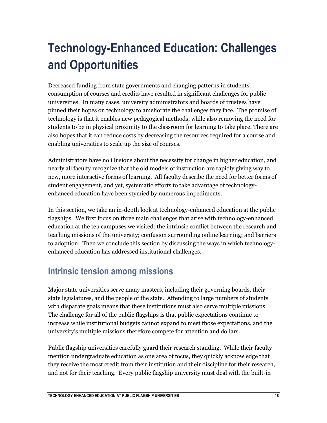## <span id="page-18-0"></span>**Technology-Enhanced Education: Challenges and Opportunities**

Decreased funding from state governments and changing patterns in students' consumption of courses and credits have resulted in significant challenges for public universities. In many cases, university administrators and boards of trustees have pinned their hopes on technology to ameliorate the challenges they face. The promise of technology is that it enables new pedagogical methods, while also removing the need for students to be in physical proximity to the classroom for learning to take place. There are also hopes that it can reduce costs by decreasing the resources required for a course and enabling universities to scale up the size of courses.

Administrators have no illusions about the necessity for change in higher education, and nearly all faculty recognize that the old models of instruction are rapidly giving way to new, more interactive forms of learning. All faculty describe the need for better forms of student engagement, and yet, systematic efforts to take advantage of technologyenhanced education have been stymied by numerous impediments.

In this section, we take an in-depth look at technology-enhanced education at the public flagships. We first focus on three main challenges that arise with technology-enhanced education at the ten campuses we visited: the intrinsic conflict between the research and teaching missions of the university; confusion surrounding online learning; and barriers to adoption. Then we conclude this section by discussing the ways in which technologyenhanced education has addressed institutional challenges.

## **Intrinsic tension among missions**

Major state universities serve many masters, including their governing boards, their state legislatures, and the people of the state. Attending to large numbers of students with disparate goals means that these institutions must also serve multiple missions. The challenge for all of the public flagships is that public expectations continue to increase while institutional budgets cannot expand to meet those expectations, and the university's multiple missions therefore compete for attention and dollars.

Public flagship universities carefully guard their research standing. While their faculty mention undergraduate education as one area of focus, they quickly acknowledge that they receive the most credit from their institution and their discipline for their research, and not for their teaching. Every public flagship university must deal with the built-in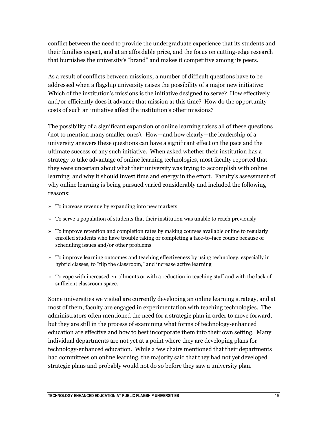conflict between the need to provide the undergraduate experience that its students and their families expect, and at an affordable price, and the focus on cutting-edge research that burnishes the university's "brand" and makes it competitive among its peers.

As a result of conflicts between missions, a number of difficult questions have to be addressed when a flagship university raises the possibility of a major new initiative: Which of the institution's missions is the initiative designed to serve? How effectively and/or efficiently does it advance that mission at this time? How do the opportunity costs of such an initiative affect the institution's other missions?

The possibility of a significant expansion of online learning raises all of these questions (not to mention many smaller ones). How—and how clearly—the leadership of a university answers these questions can have a significant effect on the pace and the ultimate success of any such initiative. When asked whether their institution has a strategy to take advantage of online learning technologies, most faculty reported that they were uncertain about what their university was trying to accomplish with online learning and why it should invest time and energy in the effort. Faculty's assessment of why online learning is being pursued varied considerably and included the following reasons:

- » To increase revenue by expanding into new markets
- » To serve a population of students that their institution was unable to reach previously
- » To improve retention and completion rates by making courses available online to regularly enrolled students who have trouble taking or completing a face-to-face course because of scheduling issues and/or other problems
- » To improve learning outcomes and teaching effectiveness by using technology, especially in hybrid classes, to "flip the classroom," and increase active learning
- » To cope with increased enrollments or with a reduction in teaching staff and with the lack of sufficient classroom space.

Some universities we visited are currently developing an online learning strategy, and at most of them, faculty are engaged in experimentation with teaching technologies. The administrators often mentioned the need for a strategic plan in order to move forward, but they are still in the process of examining what forms of technology-enhanced education are effective and how to best incorporate them into their own setting. Many individual departments are not yet at a point where they are developing plans for technology-enhanced education. While a few chairs mentioned that their departments had committees on online learning, the majority said that they had not yet developed strategic plans and probably would not do so before they saw a university plan.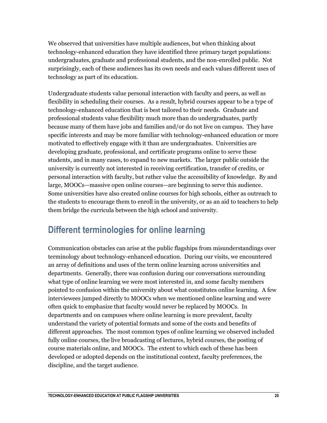We observed that universities have multiple audiences, but when thinking about technology-enhanced education they have identified three primary target populations: undergraduates, graduate and professional students, and the non-enrolled public. Not surprisingly, each of these audiences has its own needs and each values different uses of technology as part of its education.

Undergraduate students value personal interaction with faculty and peers, as well as flexibility in scheduling their courses. As a result, hybrid courses appear to be a type of technology-enhanced education that is best tailored to their needs. Graduate and professional students value flexibility much more than do undergraduates, partly because many of them have jobs and families and/or do not live on campus. They have specific interests and may be more familiar with technology-enhanced education or more motivated to effectively engage with it than are undergraduates. Universities are developing graduate, professional, and certificate programs online to serve these students, and in many cases, to expand to new markets. The larger public outside the university is currently not interested in receiving certification, transfer of credits, or personal interaction with faculty, but rather value the accessibility of knowledge. By and large, MOOCs—massive open online courses—are beginning to serve this audience. Some universities have also created online courses for high schools, either as outreach to the students to encourage them to enroll in the university, or as an aid to teachers to help them bridge the curricula between the high school and university.

## **Different terminologies for online learning**

Communication obstacles can arise at the public flagships from misunderstandings over terminology about technology-enhanced education. During our visits, we encountered an array of definitions and uses of the term online learning across universities and departments. Generally, there was confusion during our conversations surrounding what type of online learning we were most interested in, and some faculty members pointed to confusion within the university about what constitutes online learning. A few interviewees jumped directly to MOOCs when we mentioned online learning and were often quick to emphasize that faculty would never be replaced by MOOCs. In departments and on campuses where online learning is more prevalent, faculty understand the variety of potential formats and some of the costs and benefits of different approaches. The most common types of online learning we observed included fully online courses, the live broadcasting of lectures, hybrid courses, the posting of course materials online, and MOOCs. The extent to which each of these has been developed or adopted depends on the institutional context, faculty preferences, the discipline, and the target audience.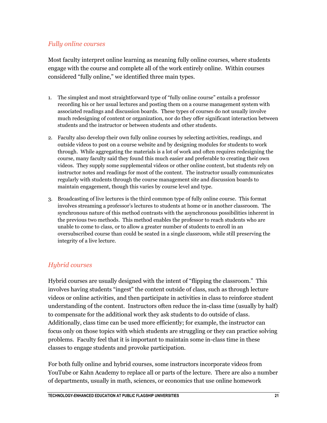#### *Fully online courses*

Most faculty interpret online learning as meaning fully online courses, where students engage with the course and complete all of the work entirely online. Within courses considered "fully online," we identified three main types.

- 1. The simplest and most straightforward type of "fully online course" entails a professor recording his or her usual lectures and posting them on a course management system with associated readings and discussion boards. These types of courses do not usually involve much redesigning of content or organization, nor do they offer significant interaction between students and the instructor or between students and other students.
- 2. Faculty also develop their own fully online courses by selecting activities, readings, and outside videos to post on a course website and by designing modules for students to work through. While aggregating the materials is a lot of work and often requires redesigning the course, many faculty said they found this much easier and preferable to creating their own videos. They supply some supplemental videos or other online content, but students rely on instructor notes and readings for most of the content. The instructor usually communicates regularly with students through the course management site and discussion boards to maintain engagement, though this varies by course level and type.
- 3. Broadcasting of live lectures is the third common type of fully online course. This format involves streaming a professor's lectures to students at home or in another classroom. The synchronous nature of this method contrasts with the asynchronous possibilities inherent in the previous two methods. This method enables the professor to reach students who are unable to come to class, or to allow a greater number of students to enroll in an oversubscribed course than could be seated in a single classroom, while still preserving the integrity of a live lecture.

#### *Hybrid courses*

Hybrid courses are usually designed with the intent of "flipping the classroom." This involves having students "ingest" the content outside of class, such as through lecture videos or online activities, and then participate in activities in class to reinforce student understanding of the content. Instructors often reduce the in-class time (usually by half) to compensate for the additional work they ask students to do outside of class. Additionally, class time can be used more efficiently; for example, the instructor can focus only on those topics with which students are struggling or they can practice solving problems. Faculty feel that it is important to maintain some in-class time in these classes to engage students and provoke participation.

For both fully online and hybrid courses, some instructors incorporate videos from YouTube or Kahn Academy to replace all or parts of the lecture. There are also a number of departments, usually in math, sciences, or economics that use online homework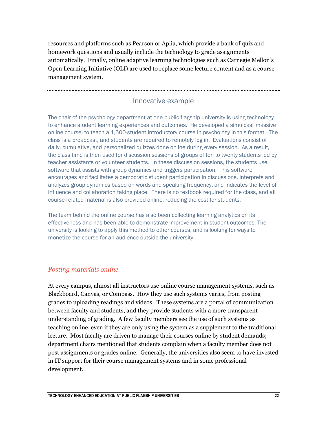resources and platforms such as Pearson or Aplia, which provide a bank of quiz and homework questions and usually include the technology to grade assignments automatically. Finally, online adaptive learning technologies such as Carnegie Mellon's Open Learning Initiative (OLI) are used to replace some lecture content and as a course management system.

#### Innovative example

The chair of the psychology department at one public flagship university is using technology to enhance student learning experiences and outcomes. He developed a simulcast massive online course, to teach a 1,500-student introductory course in psychology in this format. The class is a broadcast, and students are required to remotely log in. Evaluations consist of daily, cumulative, and personalized quizzes done online during every session. As a result, the class time is then used for discussion sessions of groups of ten to twenty students led by teacher assistants or volunteer students. In these discussion sessions, the students use software that assists with group dynamics and triggers participation. This software encourages and facilitates a democratic student participation in discussions, interprets and analyzes group dynamics based on words and speaking frequency, and indicates the level of influence and collaboration taking place. There is no textbook required for the class, and all course-related material is also provided online, reducing the cost for students.

The team behind the online course has also been collecting learning analytics on its effectiveness and has been able to demonstrate improvement in student outcomes. The university is looking to apply this method to other courses, and is looking for ways to monetize the course for an audience outside the university.

#### *Posting materials online*

At every campus, almost all instructors use online course management systems, such as Blackboard, Canvas, or Compass. How they use such systems varies, from posting grades to uploading readings and videos. These systems are a portal of communication between faculty and students, and they provide students with a more transparent understanding of grading. A few faculty members see the use of such systems as teaching online, even if they are only using the system as a supplement to the traditional lecture. Most faculty are driven to manage their courses online by student demands; department chairs mentioned that students complain when a faculty member does not post assignments or grades online. Generally, the universities also seem to have invested in IT support for their course management systems and in some professional development.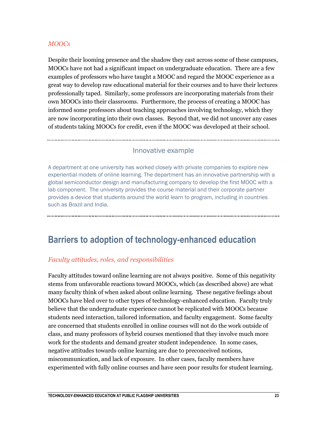#### *MOOCs*

Despite their looming presence and the shadow they cast across some of these campuses, MOOCs have not had a significant impact on undergraduate education. There are a few examples of professors who have taught a MOOC and regard the MOOC experience as a great way to develop raw educational material for their courses and to have their lectures professionally taped. Similarly, some professors are incorporating materials from their own MOOCs into their classrooms. Furthermore, the process of creating a MOOC has informed some professors about teaching approaches involving technology, which they are now incorporating into their own classes. Beyond that, we did not uncover any cases of students taking MOOCs for credit, even if the MOOC was developed at their school.

#### Innovative example

A department at one university has worked closely with private companies to explore new experiential models of online learning. The department has an innovative partnership with a global semiconductor design and manufacturing company to develop the first MOOC with a lab component. The university provides the course material and their corporate partner provides a device that students around the world learn to program, including in countries such as Brazil and India.

### **Barriers to adoption of technology-enhanced education**

#### *Faculty attitudes, roles, and responsibilities*

Faculty attitudes toward online learning are not always positive. Some of this negativity stems from unfavorable reactions toward MOOCs, which (as described above) are what many faculty think of when asked about online learning. These negative feelings about MOOCs have bled over to other types of technology-enhanced education. Faculty truly believe that the undergraduate experience cannot be replicated with MOOCs because students need interaction, tailored information, and faculty engagement. Some faculty are concerned that students enrolled in online courses will not do the work outside of class, and many professors of hybrid courses mentioned that they involve much more work for the students and demand greater student independence. In some cases, negative attitudes towards online learning are due to preconceived notions, miscommunication, and lack of exposure. In other cases, faculty members have experimented with fully online courses and have seen poor results for student learning.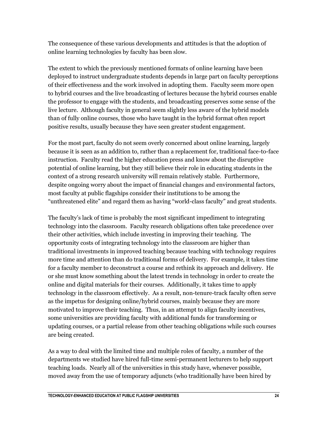The consequence of these various developments and attitudes is that the adoption of online learning technologies by faculty has been slow.

The extent to which the previously mentioned formats of online learning have been deployed to instruct undergraduate students depends in large part on faculty perceptions of their effectiveness and the work involved in adopting them. Faculty seem more open to hybrid courses and the live broadcasting of lectures because the hybrid courses enable the professor to engage with the students, and broadcasting preserves some sense of the live lecture. Although faculty in general seem slightly less aware of the hybrid models than of fully online courses, those who have taught in the hybrid format often report positive results, usually because they have seen greater student engagement.

For the most part, faculty do not seem overly concerned about online learning, largely because it is seen as an addition to, rather than a replacement for, traditional face-to-face instruction. Faculty read the higher education press and know about the disruptive potential of online learning, but they still believe their role in educating students in the context of a strong research university will remain relatively stable. Furthermore, despite ongoing worry about the impact of financial changes and environmental factors, most faculty at public flagships consider their institutions to be among the "unthreatened elite" and regard them as having "world-class faculty" and great students.

The faculty's lack of time is probably the most significant impediment to integrating technology into the classroom. Faculty research obligations often take precedence over their other activities, which include investing in improving their teaching. The opportunity costs of integrating technology into the classroom are higher than traditional investments in improved teaching because teaching with technology requires more time and attention than do traditional forms of delivery. For example, it takes time for a faculty member to deconstruct a course and rethink its approach and delivery. He or she must know something about the latest trends in technology in order to create the online and digital materials for their courses. Additionally, it takes time to apply technology in the classroom effectively. As a result, non-tenure-track faculty often serve as the impetus for designing online/hybrid courses, mainly because they are more motivated to improve their teaching. Thus, in an attempt to align faculty incentives, some universities are providing faculty with additional funds for transforming or updating courses, or a partial release from other teaching obligations while such courses are being created.

As a way to deal with the limited time and multiple roles of faculty, a number of the departments we studied have hired full-time semi-permanent lecturers to help support teaching loads. Nearly all of the universities in this study have, whenever possible, moved away from the use of temporary adjuncts (who traditionally have been hired by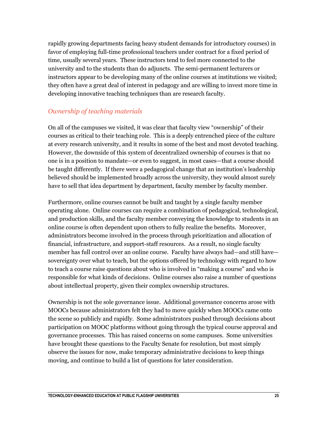rapidly growing departments facing heavy student demands for introductory courses) in favor of employing full-time professional teachers under contract for a fixed period of time, usually several years. These instructors tend to feel more connected to the university and to the students than do adjuncts. The semi-permanent lecturers or instructors appear to be developing many of the online courses at institutions we visited; they often have a great deal of interest in pedagogy and are willing to invest more time in developing innovative teaching techniques than are research faculty.

#### *Ownership of teaching materials*

On all of the campuses we visited, it was clear that faculty view "ownership" of their courses as critical to their teaching role. This is a deeply entrenched piece of the culture at every research university, and it results in some of the best and most devoted teaching. However, the downside of this system of decentralized ownership of courses is that no one is in a position to mandate—or even to suggest, in most cases—that a course should be taught differently. If there were a pedagogical change that an institution's leadership believed should be implemented broadly across the university, they would almost surely have to sell that idea department by department, faculty member by faculty member.

Furthermore, online courses cannot be built and taught by a single faculty member operating alone. Online courses can require a combination of pedagogical, technological, and production skills, and the faculty member conveying the knowledge to students in an online course is often dependent upon others to fully realize the benefits. Moreover, administrators become involved in the process through prioritization and allocation of financial, infrastructure, and support-staff resources. As a result, no single faculty member has full control over an online course. Faculty have always had—and still have sovereignty over what to teach, but the options offered by technology with regard to how to teach a course raise questions about who is involved in "making a course" and who is responsible for what kinds of decisions. Online courses also raise a number of questions about intellectual property, given their complex ownership structures.

Ownership is not the sole governance issue. Additional governance concerns arose with MOOCs because administrators felt they had to move quickly when MOOCs came onto the scene so publicly and rapidly. Some administrators pushed through decisions about participation on MOOC platforms without going through the typical course approval and governance processes. This has raised concerns on some campuses. Some universities have brought these questions to the Faculty Senate for resolution, but most simply observe the issues for now, make temporary administrative decisions to keep things moving, and continue to build a list of questions for later consideration.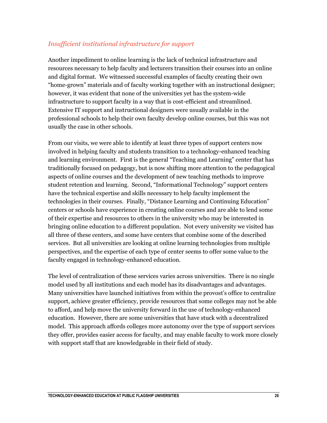#### *Insufficient institutional infrastructure for support*

Another impediment to online learning is the lack of technical infrastructure and resources necessary to help faculty and lecturers transition their courses into an online and digital format. We witnessed successful examples of faculty creating their own "home-grown" materials and of faculty working together with an instructional designer; however, it was evident that none of the universities yet has the system-wide infrastructure to support faculty in a way that is cost-efficient and streamlined. Extensive IT support and instructional designers were usually available in the professional schools to help their own faculty develop online courses, but this was not usually the case in other schools.

From our visits, we were able to identify at least three types of support centers now involved in helping faculty and students transition to a technology-enhanced teaching and learning environment. First is the general "Teaching and Learning" center that has traditionally focused on pedagogy, but is now shifting more attention to the pedagogical aspects of online courses and the development of new teaching methods to improve student retention and learning. Second, "Informational Technology" support centers have the technical expertise and skills necessary to help faculty implement the technologies in their courses. Finally, "Distance Learning and Continuing Education" centers or schools have experience in creating online courses and are able to lend some of their expertise and resources to others in the university who may be interested in bringing online education to a different population. Not every university we visited has all three of these centers, and some have centers that combine some of the described services. But all universities are looking at online learning technologies from multiple perspectives, and the expertise of each type of center seems to offer some value to the faculty engaged in technology-enhanced education.

The level of centralization of these services varies across universities. There is no single model used by all institutions and each model has its disadvantages and advantages. Many universities have launched initiatives from within the provost's office to centralize support, achieve greater efficiency, provide resources that some colleges may not be able to afford, and help move the university forward in the use of technology-enhanced education. However, there are some universities that have stuck with a decentralized model. This approach affords colleges more autonomy over the type of support services they offer, provides easier access for faculty, and may enable faculty to work more closely with support staff that are knowledgeable in their field of study.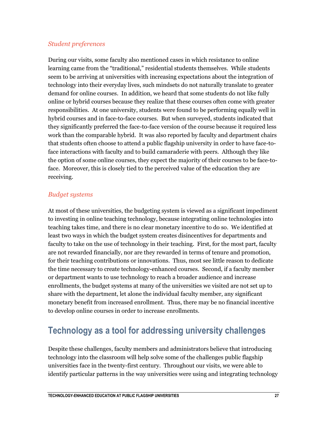#### *Student preferences*

During our visits, some faculty also mentioned cases in which resistance to online learning came from the "traditional," residential students themselves. While students seem to be arriving at universities with increasing expectations about the integration of technology into their everyday lives, such mindsets do not naturally translate to greater demand for online courses. In addition, we heard that some students do not like fully online or hybrid courses because they realize that these courses often come with greater responsibilities. At one university, students were found to be performing equally well in hybrid courses and in face-to-face courses. But when surveyed, students indicated that they significantly preferred the face-to-face version of the course because it required less work than the comparable hybrid. It was also reported by faculty and department chairs that students often choose to attend a public flagship university in order to have face-toface interactions with faculty and to build camaraderie with peers. Although they like the option of some online courses, they expect the majority of their courses to be face-toface. Moreover, this is closely tied to the perceived value of the education they are receiving.

#### *Budget systems*

At most of these universities, the budgeting system is viewed as a significant impediment to investing in online teaching technology, because integrating online technologies into teaching takes time, and there is no clear monetary incentive to do so. We identified at least two ways in which the budget system creates disincentives for departments and faculty to take on the use of technology in their teaching. First, for the most part, faculty are not rewarded financially, nor are they rewarded in terms of tenure and promotion, for their teaching contributions or innovations. Thus, most see little reason to dedicate the time necessary to create technology-enhanced courses. Second, if a faculty member or department wants to use technology to reach a broader audience and increase enrollments, the budget systems at many of the universities we visited are not set up to share with the department, let alone the individual faculty member, any significant monetary benefit from increased enrollment. Thus, there may be no financial incentive to develop online courses in order to increase enrollments.

## **Technology as a tool for addressing university challenges**

Despite these challenges, faculty members and administrators believe that introducing technology into the classroom will help solve some of the challenges public flagship universities face in the twenty-first century. Throughout our visits, we were able to identify particular patterns in the way universities were using and integrating technology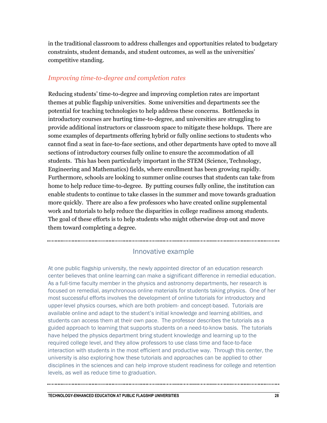in the traditional classroom to address challenges and opportunities related to budgetary constraints, student demands, and student outcomes, as well as the universities' competitive standing.

#### *Improving time-to-degree and completion rates*

Reducing students' time-to-degree and improving completion rates are important themes at public flagship universities. Some universities and departments see the potential for teaching technologies to help address these concerns. Bottlenecks in introductory courses are hurting time-to-degree, and universities are struggling to provide additional instructors or classroom space to mitigate these holdups. There are some examples of departments offering hybrid or fully online sections to students who cannot find a seat in face-to-face sections, and other departments have opted to move all sections of introductory courses fully online to ensure the accommodation of all students. This has been particularly important in the STEM (Science, Technology, Engineering and Mathematics) fields, where enrollment has been growing rapidly. Furthermore, schools are looking to summer online courses that students can take from home to help reduce time-to-degree. By putting courses fully online, the institution can enable students to continue to take classes in the summer and move towards graduation more quickly. There are also a few professors who have created online supplemental work and tutorials to help reduce the disparities in college readiness among students. The goal of these efforts is to help students who might otherwise drop out and move them toward completing a degree.

#### Innovative example

At one public flagship university, the newly appointed director of an education research center believes that online learning can make a significant difference in remedial education. As a full-time faculty member in the physics and astronomy departments, her research is focused on remedial, asynchronous online materials for students taking physics. One of her most successful efforts involves the development of online tutorials for introductory and upper-level physics courses, which are both problem- and concept-based. Tutorials are available online and adapt to the student's initial knowledge and learning abilities, and students can access them at their own pace. The professor describes the tutorials as a guided approach to learning that supports students on a need-to-know basis. The tutorials have helped the physics department bring student knowledge and learning up to the required college level, and they allow professors to use class time and face-to-face interaction with students in the most efficient and productive way. Through this center, the university is also exploring how these tutorials and approaches can be applied to other disciplines in the sciences and can help improve student readiness for college and retention levels, as well as reduce time to graduation.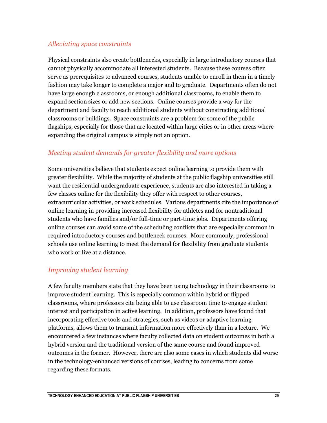#### *Alleviating space constraints*

Physical constraints also create bottlenecks, especially in large introductory courses that cannot physically accommodate all interested students. Because these courses often serve as prerequisites to advanced courses, students unable to enroll in them in a timely fashion may take longer to complete a major and to graduate. Departments often do not have large enough classrooms, or enough additional classrooms, to enable them to expand section sizes or add new sections. Online courses provide a way for the department and faculty to reach additional students without constructing additional classrooms or buildings. Space constraints are a problem for some of the public flagships, especially for those that are located within large cities or in other areas where expanding the original campus is simply not an option.

#### *Meeting student demands for greater flexibility and more options*

Some universities believe that students expect online learning to provide them with greater flexibility. While the majority of students at the public flagship universities still want the residential undergraduate experience, students are also interested in taking a few classes online for the flexibility they offer with respect to other courses, extracurricular activities, or work schedules. Various departments cite the importance of online learning in providing increased flexibility for athletes and for nontraditional students who have families and/or full-time or part-time jobs. Departments offering online courses can avoid some of the scheduling conflicts that are especially common in required introductory courses and bottleneck courses. More commonly, professional schools use online learning to meet the demand for flexibility from graduate students who work or live at a distance.

#### *Improving student learning*

A few faculty members state that they have been using technology in their classrooms to improve student learning. This is especially common within hybrid or flipped classrooms, where professors cite being able to use classroom time to engage student interest and participation in active learning. In addition, professors have found that incorporating effective tools and strategies, such as videos or adaptive learning platforms, allows them to transmit information more effectively than in a lecture. We encountered a few instances where faculty collected data on student outcomes in both a hybrid version and the traditional version of the same course and found improved outcomes in the former. However, there are also some cases in which students did worse in the technology-enhanced versions of courses, leading to concerns from some regarding these formats.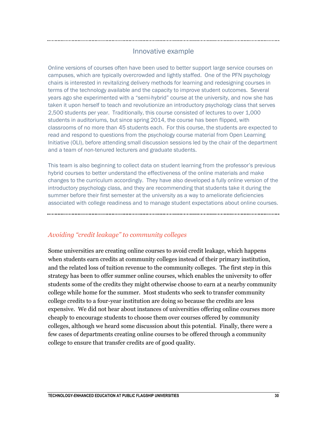#### Innovative example

Online versions of courses often have been used to better support large service courses on campuses, which are typically overcrowded and lightly staffed. One of the PFN psychology chairs is interested in revitalizing delivery methods for learning and redesigning courses in terms of the technology available and the capacity to improve student outcomes. Several years ago she experimented with a "semi-hybrid" course at the university, and now she has taken it upon herself to teach and revolutionize an introductory psychology class that serves 2,500 students per year. Traditionally, this course consisted of lectures to over 1,000 students in auditoriums, but since spring 2014, the course has been flipped, with classrooms of no more than 45 students each. For this course, the students are expected to read and respond to questions from the psychology course material from Open Learning Initiative (OLI), before attending small discussion sessions led by the chair of the department and a team of non-tenured lecturers and graduate students.

This team is also beginning to collect data on student learning from the professor's previous hybrid courses to better understand the effectiveness of the online materials and make changes to the curriculum accordingly. They have also developed a fully online version of the introductory psychology class, and they are recommending that students take it during the summer before their first semester at the university as a way to ameliorate deficiencies associated with college readiness and to manage student expectations about online courses.

*Avoiding "credit leakage" to community colleges* 

Some universities are creating online courses to avoid credit leakage, which happens when students earn credits at community colleges instead of their primary institution, and the related loss of tuition revenue to the community colleges. The first step in this strategy has been to offer summer online courses, which enables the university to offer students some of the credits they might otherwise choose to earn at a nearby community college while home for the summer. Most students who seek to transfer community college credits to a four-year institution are doing so because the credits are less expensive. We did not hear about instances of universities offering online courses more cheaply to encourage students to choose them over courses offered by community colleges, although we heard some discussion about this potential. Finally, there were a few cases of departments creating online courses to be offered through a community college to ensure that transfer credits are of good quality.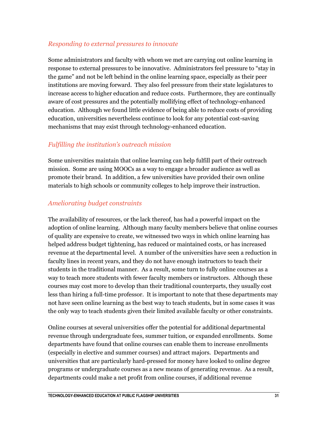#### *Responding to external pressures to innovate*

Some administrators and faculty with whom we met are carrying out online learning in response to external pressures to be innovative. Administrators feel pressure to "stay in the game" and not be left behind in the online learning space, especially as their peer institutions are moving forward. They also feel pressure from their state legislatures to increase access to higher education and reduce costs. Furthermore, they are continually aware of cost pressures and the potentially mollifying effect of technology-enhanced education. Although we found little evidence of being able to reduce costs of providing education, universities nevertheless continue to look for any potential cost-saving mechanisms that may exist through technology-enhanced education.

#### *Fulfilling the institution's outreach mission*

Some universities maintain that online learning can help fulfill part of their outreach mission. Some are using MOOCs as a way to engage a broader audience as well as promote their brand. In addition, a few universities have provided their own online materials to high schools or community colleges to help improve their instruction.

#### *Ameliorating budget constraints*

The availability of resources, or the lack thereof, has had a powerful impact on the adoption of online learning. Although many faculty members believe that online courses of quality are expensive to create, we witnessed two ways in which online learning has helped address budget tightening, has reduced or maintained costs, or has increased revenue at the departmental level. A number of the universities have seen a reduction in faculty lines in recent years, and they do not have enough instructors to teach their students in the traditional manner. As a result, some turn to fully online courses as a way to teach more students with fewer faculty members or instructors. Although these courses may cost more to develop than their traditional counterparts, they usually cost less than hiring a full-time professor. It is important to note that these departments may not have seen online learning as the best way to teach students, but in some cases it was the only way to teach students given their limited available faculty or other constraints.

Online courses at several universities offer the potential for additional departmental revenue through undergraduate fees, summer tuition, or expanded enrollments. Some departments have found that online courses can enable them to increase enrollments (especially in elective and summer courses) and attract majors. Departments and universities that are particularly hard-pressed for money have looked to online degree programs or undergraduate courses as a new means of generating revenue. As a result, departments could make a net profit from online courses, if additional revenue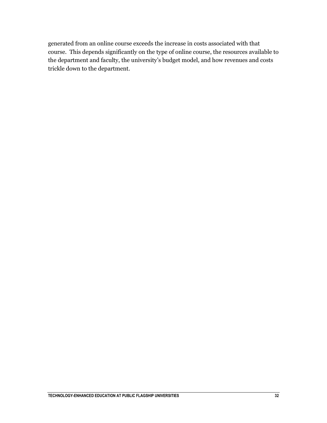generated from an online course exceeds the increase in costs associated with that course. This depends significantly on the type of online course, the resources available to the department and faculty, the university's budget model, and how revenues and costs trickle down to the department.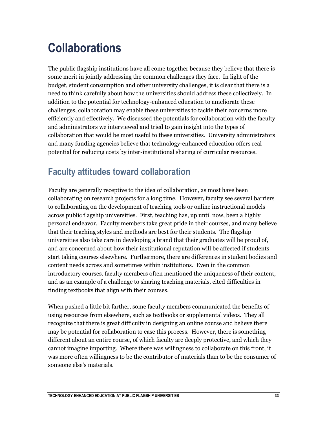## <span id="page-33-0"></span>**Collaborations**

The public flagship institutions have all come together because they believe that there is some merit in jointly addressing the common challenges they face. In light of the budget, student consumption and other university challenges, it is clear that there is a need to think carefully about how the universities should address these collectively. In addition to the potential for technology-enhanced education to ameliorate these challenges, collaboration may enable these universities to tackle their concerns more efficiently and effectively. We discussed the potentials for collaboration with the faculty and administrators we interviewed and tried to gain insight into the types of collaboration that would be most useful to these universities. University administrators and many funding agencies believe that technology-enhanced education offers real potential for reducing costs by inter-institutional sharing of curricular resources.

## **Faculty attitudes toward collaboration**

Faculty are generally receptive to the idea of collaboration, as most have been collaborating on research projects for a long time. However, faculty see several barriers to collaborating on the development of teaching tools or online instructional models across public flagship universities. First, teaching has, up until now, been a highly personal endeavor. Faculty members take great pride in their courses, and many believe that their teaching styles and methods are best for their students. The flagship universities also take care in developing a brand that their graduates will be proud of, and are concerned about how their institutional reputation will be affected if students start taking courses elsewhere. Furthermore, there are differences in student bodies and content needs across and sometimes within institutions. Even in the common introductory courses, faculty members often mentioned the uniqueness of their content, and as an example of a challenge to sharing teaching materials, cited difficulties in finding textbooks that align with their courses.

When pushed a little bit farther, some faculty members communicated the benefits of using resources from elsewhere, such as textbooks or supplemental videos. They all recognize that there is great difficulty in designing an online course and believe there may be potential for collaboration to ease this process. However, there is something different about an entire course, of which faculty are deeply protective, and which they cannot imagine importing. Where there was willingness to collaborate on this front, it was more often willingness to be the contributor of materials than to be the consumer of someone else's materials.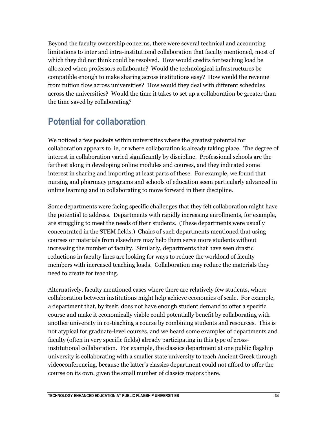Beyond the faculty ownership concerns, there were several technical and accounting limitations to inter and intra-institutional collaboration that faculty mentioned, most of which they did not think could be resolved. How would credits for teaching load be allocated when professors collaborate? Would the technological infrastructures be compatible enough to make sharing across institutions easy? How would the revenue from tuition flow across universities? How would they deal with different schedules across the universities? Would the time it takes to set up a collaboration be greater than the time saved by collaborating?

### **Potential for collaboration**

We noticed a few pockets within universities where the greatest potential for collaboration appears to lie, or where collaboration is already taking place. The degree of interest in collaboration varied significantly by discipline. Professional schools are the farthest along in developing online modules and courses, and they indicated some interest in sharing and importing at least parts of these. For example, we found that nursing and pharmacy programs and schools of education seem particularly advanced in online learning and in collaborating to move forward in their discipline.

Some departments were facing specific challenges that they felt collaboration might have the potential to address. Departments with rapidly increasing enrollments, for example, are struggling to meet the needs of their students. (These departments were usually concentrated in the STEM fields.) Chairs of such departments mentioned that using courses or materials from elsewhere may help them serve more students without increasing the number of faculty. Similarly, departments that have seen drastic reductions in faculty lines are looking for ways to reduce the workload of faculty members with increased teaching loads. Collaboration may reduce the materials they need to create for teaching.

Alternatively, faculty mentioned cases where there are relatively few students, where collaboration between institutions might help achieve economies of scale. For example, a department that, by itself, does not have enough student demand to offer a specific course and make it economically viable could potentially benefit by collaborating with another university in co-teaching a course by combining students and resources. This is not atypical for graduate-level courses, and we heard some examples of departments and faculty (often in very specific fields) already participating in this type of crossinstitutional collaboration. For example, the classics department at one public flagship university is collaborating with a smaller state university to teach Ancient Greek through videoconferencing, because the latter's classics department could not afford to offer the course on its own, given the small number of classics majors there.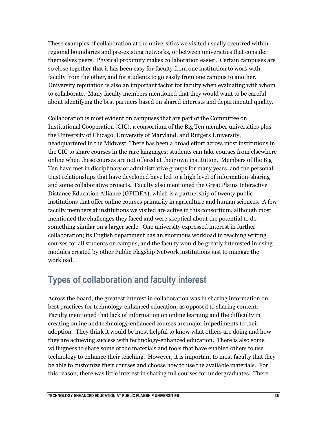These examples of collaboration at the universities we visited usually occurred within regional boundaries and pre-existing networks, or between universities that consider themselves peers. Physical proximity makes collaboration easier. Certain campuses are so close together that it has been easy for faculty from one institution to work with faculty from the other, and for students to go easily from one campus to another. University reputation is also an important factor for faculty when evaluating with whom to collaborate. Many faculty members mentioned that they would want to be careful about identifying the best partners based on shared interests and departmental quality.

Collaboration is most evident on campuses that are part of the Committee on Institutional Cooperation (CIC), a consortium of the Big Ten member universities plus the University of Chicago, University of Maryland, and Rutgers University, headquartered in the Midwest. There has been a broad effort across most institutions in the CIC to share courses in the rare languages; students can take courses from elsewhere online when these courses are not offered at their own institution. Members of the Big Ten have met in disciplinary or administrative groups for many years, and the personal trust relationships that have developed have led to a high level of information-sharing and some collaborative projects. Faculty also mentioned the Great Plains Interactive Distance Education Alliance (GPIDEA), which is a partnership of twenty public institutions that offer online courses primarily in agriculture and human sciences. A few faculty members at institutions we visited are active in this consortium, although most mentioned the challenges they faced and were skeptical about the potential to do something similar on a larger scale. One university expressed interest in further collaboration; its English department has an enormous workload in teaching writing courses for all students on campus, and the faculty would be greatly interested in using modules created by other Public Flagship Network institutions just to manage the workload.

### **Types of collaboration and faculty interest**

Across the board, the greatest interest in collaboration was in sharing information on best practices for technology-enhanced education, as opposed to sharing content. Faculty mentioned that lack of information on online learning and the difficulty in creating online and technology-enhanced courses are major impediments to their adoption. They think it would be most helpful to know what others are doing and how they are achieving success with technology-enhanced education. There is also some willingness to share some of the materials and tools that have enabled others to use technology to enhance their teaching. However, it is important to most faculty that they be able to customize their courses and choose how to use the available materials. For this reason, there was little interest in sharing full courses for undergraduates. There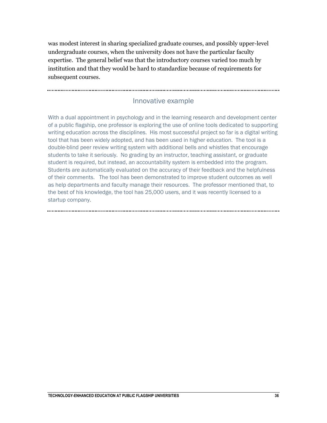was modest interest in sharing specialized graduate courses, and possibly upper-level undergraduate courses, when the university does not have the particular faculty expertise. The general belief was that the introductory courses varied too much by institution and that they would be hard to standardize because of requirements for subsequent courses.

#### Innovative example

With a dual appointment in psychology and in the learning research and development center of a public flagship, one professor is exploring the use of online tools dedicated to supporting writing education across the disciplines. His most successful project so far is a digital writing tool that has been widely adopted, and has been used in higher education. The tool is a double-blind peer review writing system with additional bells and whistles that encourage students to take it seriously. No grading by an instructor, teaching assistant, or graduate student is required, but instead, an accountability system is embedded into the program. Students are automatically evaluated on the accuracy of their feedback and the helpfulness of their comments. The tool has been demonstrated to improve student outcomes as well as help departments and faculty manage their resources. The professor mentioned that, to the best of his knowledge, the tool has 25,000 users, and it was recently licensed to a startup company.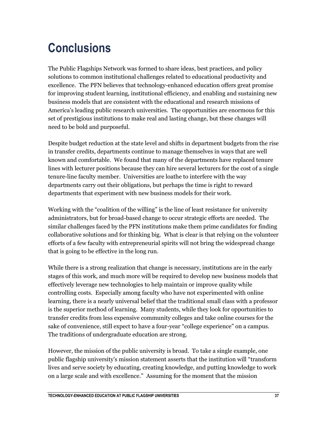## <span id="page-37-0"></span>**Conclusions**

The Public Flagships Network was formed to share ideas, best practices, and policy solutions to common institutional challenges related to educational productivity and excellence. The PFN believes that technology-enhanced education offers great promise for improving student learning, institutional efficiency, and enabling and sustaining new business models that are consistent with the educational and research missions of America's leading public research universities. The opportunities are enormous for this set of prestigious institutions to make real and lasting change, but these changes will need to be bold and purposeful.

Despite budget reduction at the state level and shifts in department budgets from the rise in transfer credits, departments continue to manage themselves in ways that are well known and comfortable. We found that many of the departments have replaced tenure lines with lecturer positions because they can hire several lecturers for the cost of a single tenure-line faculty member. Universities are loathe to interfere with the way departments carry out their obligations, but perhaps the time is right to reward departments that experiment with new business models for their work.

Working with the "coalition of the willing" is the line of least resistance for university administrators, but for broad-based change to occur strategic efforts are needed. The similar challenges faced by the PFN institutions make them prime candidates for finding collaborative solutions and for thinking big. What is clear is that relying on the volunteer efforts of a few faculty with entrepreneurial spirits will not bring the widespread change that is going to be effective in the long run.

While there is a strong realization that change is necessary, institutions are in the early stages of this work, and much more will be required to develop new business models that effectively leverage new technologies to help maintain or improve quality while controlling costs. Especially among faculty who have not experimented with online learning, there is a nearly universal belief that the traditional small class with a professor is the superior method of learning. Many students, while they look for opportunities to transfer credits from less expensive community colleges and take online courses for the sake of convenience, still expect to have a four-year "college experience" on a campus. The traditions of undergraduate education are strong.

However, the mission of the public university is broad. To take a single example, one public flagship university's mission statement asserts that the institution will "transform lives and serve society by educating, creating knowledge, and putting knowledge to work on a large scale and with excellence." Assuming for the moment that the mission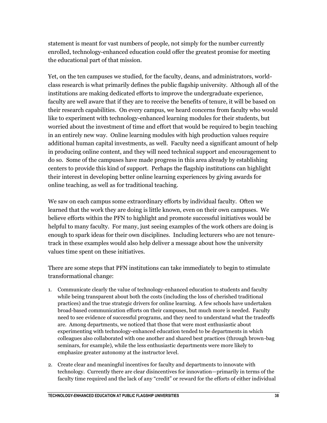statement is meant for vast numbers of people, not simply for the number currently enrolled, technology-enhanced education could offer the greatest promise for meeting the educational part of that mission.

Yet, on the ten campuses we studied, for the faculty, deans, and administrators, worldclass research is what primarily defines the public flagship university. Although all of the institutions are making dedicated efforts to improve the undergraduate experience, faculty are well aware that if they are to receive the benefits of tenure, it will be based on their research capabilities. On every campus, we heard concerns from faculty who would like to experiment with technology-enhanced learning modules for their students, but worried about the investment of time and effort that would be required to begin teaching in an entirely new way. Online learning modules with high production values require additional human capital investments, as well. Faculty need a significant amount of help in producing online content, and they will need technical support and encouragement to do so. Some of the campuses have made progress in this area already by establishing centers to provide this kind of support. Perhaps the flagship institutions can highlight their interest in developing better online learning experiences by giving awards for online teaching, as well as for traditional teaching.

We saw on each campus some extraordinary efforts by individual faculty. Often we learned that the work they are doing is little known, even on their own campuses. We believe efforts within the PFN to highlight and promote successful initiatives would be helpful to many faculty. For many, just seeing examples of the work others are doing is enough to spark ideas for their own disciplines. Including lecturers who are not tenuretrack in these examples would also help deliver a message about how the university values time spent on these initiatives.

There are some steps that PFN institutions can take immediately to begin to stimulate transformational change:

- 1. Communicate clearly the value of technology-enhanced education to students and faculty while being transparent about both the costs (including the loss of cherished traditional practices) and the true strategic drivers for online learning. A few schools have undertaken broad-based communication efforts on their campuses, but much more is needed. Faculty need to see evidence of successful programs, and they need to understand what the tradeoffs are. Among departments, we noticed that those that were most enthusiastic about experimenting with technology-enhanced education tended to be departments in which colleagues also collaborated with one another and shared best practices (through brown-bag seminars, for example), while the less enthusiastic departments were more likely to emphasize greater autonomy at the instructor level.
- 2. Create clear and meaningful incentives for faculty and departments to innovate with technology. Currently there are clear disincentives for innovation—primarily in terms of the faculty time required and the lack of any "credit" or reward for the efforts of either individual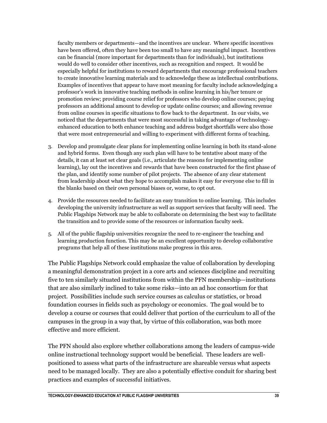faculty members or departments—and the incentives are unclear. Where specific incentives have been offered, often they have been too small to have any meaningful impact. Incentives can be financial (more important for departments than for individuals), but institutions would do well to consider other incentives, such as recognition and respect. It would be especially helpful for institutions to reward departments that encourage professional teachers to create innovative learning materials and to acknowledge these as intellectual contributions. Examples of incentives that appear to have most meaning for faculty include acknowledging a professor's work in innovative teaching methods in online learning in his/her tenure or promotion review; providing course relief for professors who develop online courses; paying professors an additional amount to develop or update online courses; and allowing revenue from online courses in specific situations to flow back to the department. In our visits, we noticed that the departments that were most successful in taking advantage of technologyenhanced education to both enhance teaching and address budget shortfalls were also those that were most entrepreneurial and willing to experiment with different forms of teaching.

- 3. Develop and promulgate clear plans for implementing online learning in both its stand-alone and hybrid forms. Even though any such plan will have to be tentative about many of the details, it can at least set clear goals (i.e., articulate the reasons for implementing online learning), lay out the incentives and rewards that have been constructed for the first phase of the plan, and identify some number of pilot projects. The absence of any clear statement from leadership about what they hope to accomplish makes it easy for everyone else to fill in the blanks based on their own personal biases or, worse, to opt out.
- 4. Provide the resources needed to facilitate an easy transition to online learning. This includes developing the university infrastructure as well as support services that faculty will need. The Public Flagships Network may be able to collaborate on determining the best way to facilitate the transition and to provide some of the resources or information faculty seek.
- 5. All of the public flagship universities recognize the need to re-engineer the teaching and learning production function. This may be an excellent opportunity to develop collaborative programs that help all of these institutions make progress in this area.

The Public Flagships Network could emphasize the value of collaboration by developing a meaningful demonstration project in a core arts and sciences discipline and recruiting five to ten similarly situated institutions from within the PFN membership—institutions that are also similarly inclined to take some risks—into an ad hoc consortium for that project. Possibilities include such service courses as calculus or statistics, or broad foundation courses in fields such as psychology or economics. The goal would be to develop a course or courses that could deliver that portion of the curriculum to all of the campuses in the group in a way that, by virtue of this collaboration, was both more effective and more efficient.

The PFN should also explore whether collaborations among the leaders of campus-wide online instructional technology support would be beneficial. These leaders are wellpositioned to assess what parts of the infrastructure are shareable versus what aspects need to be managed locally. They are also a potentially effective conduit for sharing best practices and examples of successful initiatives.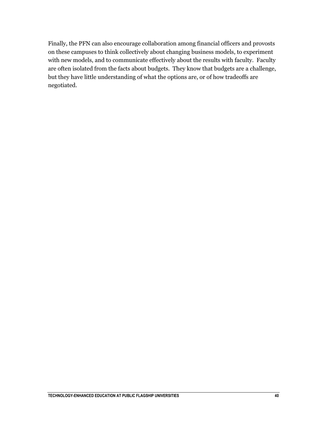Finally, the PFN can also encourage collaboration among financial officers and provosts on these campuses to think collectively about changing business models, to experiment with new models, and to communicate effectively about the results with faculty. Faculty are often isolated from the facts about budgets. They know that budgets are a challenge, but they have little understanding of what the options are, or of how tradeoffs are negotiated.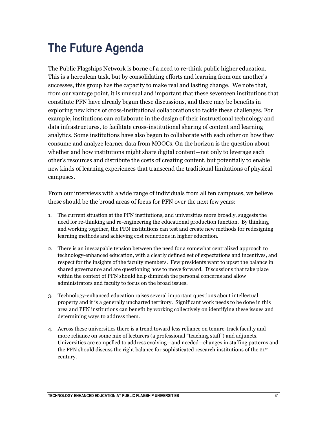## <span id="page-41-0"></span>**The Future Agenda**

The Public Flagships Network is borne of a need to re-think public higher education. This is a herculean task, but by consolidating efforts and learning from one another's successes, this group has the capacity to make real and lasting change. We note that, from our vantage point, it is unusual and important that these seventeen institutions that constitute PFN have already begun these discussions, and there may be benefits in exploring new kinds of cross-institutional collaborations to tackle these challenges. For example, institutions can collaborate in the design of their instructional technology and data infrastructures, to facilitate cross-institutional sharing of content and learning analytics. Some institutions have also begun to collaborate with each other on how they consume and analyze learner data from MOOCs. On the horizon is the question about whether and how institutions might share digital content—not only to leverage each other's resources and distribute the costs of creating content, but potentially to enable new kinds of learning experiences that transcend the traditional limitations of physical campuses.

From our interviews with a wide range of individuals from all ten campuses, we believe these should be the broad areas of focus for PFN over the next few years:

- 1. The current situation at the PFN institutions, and universities more broadly, suggests the need for re-thinking and re-engineering the educational production function. By thinking and working together, the PFN institutions can test and create new methods for redesigning learning methods and achieving cost reductions in higher education.
- 2. There is an inescapable tension between the need for a somewhat centralized approach to technology-enhanced education, with a clearly defined set of expectations and incentives, and respect for the insights of the faculty members. Few presidents want to upset the balance in shared governance and are questioning how to move forward. Discussions that take place within the context of PFN should help diminish the personal concerns and allow administrators and faculty to focus on the broad issues.
- 3. Technology-enhanced education raises several important questions about intellectual property and it is a generally uncharted territory. Significant work needs to be done in this area and PFN institutions can benefit by working collectively on identifying these issues and determining ways to address them.
- 4. Across these universities there is a trend toward less reliance on tenure-track faculty and more reliance on some mix of lecturers (a professional "teaching staff") and adjuncts. Universities are compelled to address evolving—and needed—changes in staffing patterns and the PFN should discuss the right balance for sophisticated research institutions of the 21st century.